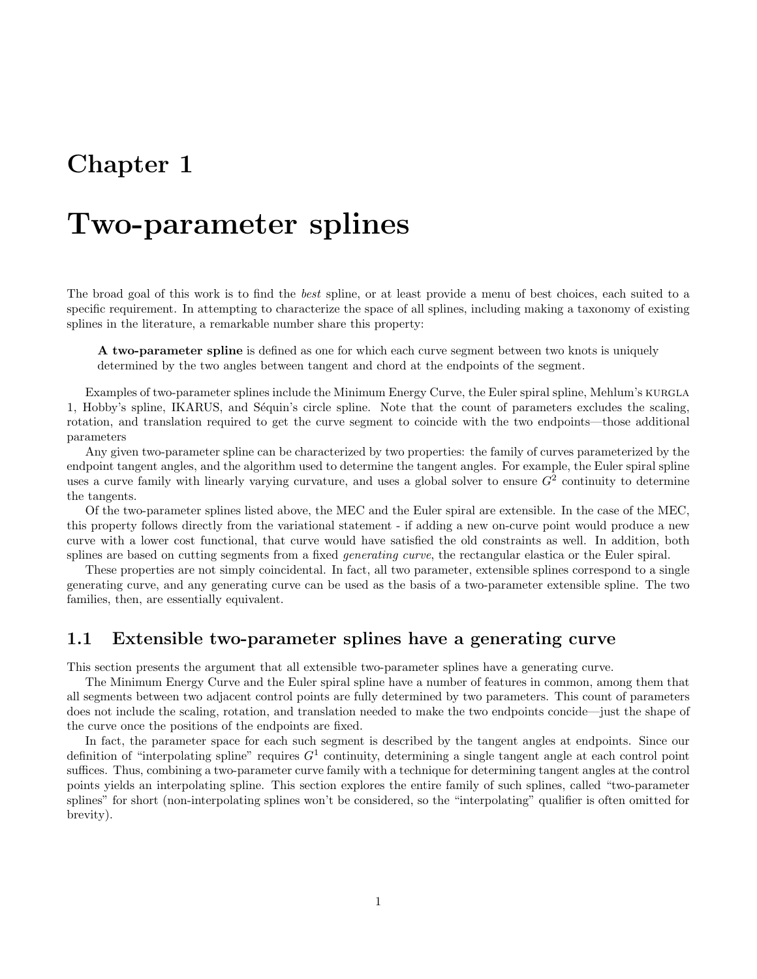## Chapter 1

## Two-parameter splines

The broad goal of this work is to find the best spline, or at least provide a menu of best choices, each suited to a specific requirement. In attempting to characterize the space of all splines, including making a taxonomy of existing splines in the literature, a remarkable number share this property:

A two-parameter spline is defined as one for which each curve segment between two knots is uniquely determined by the two angles between tangent and chord at the endpoints of the segment.

Examples of two-parameter splines include the Minimum Energy Curve, the Euler spiral spline, Mehlum's KURGLA 1, Hobby's spline, IKARUS, and Séquin's circle spline. Note that the count of parameters excludes the scaling, rotation, and translation required to get the curve segment to coincide with the two endpoints—those additional parameters

Any given two-parameter spline can be characterized by two properties: the family of curves parameterized by the endpoint tangent angles, and the algorithm used to determine the tangent angles. For example, the Euler spiral spline uses a curve family with linearly varying curvature, and uses a global solver to ensure  $G<sup>2</sup>$  continuity to determine the tangents.

Of the two-parameter splines listed above, the MEC and the Euler spiral are extensible. In the case of the MEC, this property follows directly from the variational statement - if adding a new on-curve point would produce a new curve with a lower cost functional, that curve would have satisfied the old constraints as well. In addition, both splines are based on cutting segments from a fixed *generating curve*, the rectangular elastica or the Euler spiral.

These properties are not simply coincidental. In fact, all two parameter, extensible splines correspond to a single generating curve, and any generating curve can be used as the basis of a two-parameter extensible spline. The two families, then, are essentially equivalent.

## 1.1 Extensible two-parameter splines have a generating curve

This section presents the argument that all extensible two-parameter splines have a generating curve.

The Minimum Energy Curve and the Euler spiral spline have a number of features in common, among them that all segments between two adjacent control points are fully determined by two parameters. This count of parameters does not include the scaling, rotation, and translation needed to make the two endpoints concide—just the shape of the curve once the positions of the endpoints are fixed.

In fact, the parameter space for each such segment is described by the tangent angles at endpoints. Since our definition of "interpolating spline" requires  $G<sup>1</sup>$  continuity, determining a single tangent angle at each control point suffices. Thus, combining a two-parameter curve family with a technique for determining tangent angles at the control points yields an interpolating spline. This section explores the entire family of such splines, called "two-parameter splines" for short (non-interpolating splines won't be considered, so the "interpolating" qualifier is often omitted for brevity).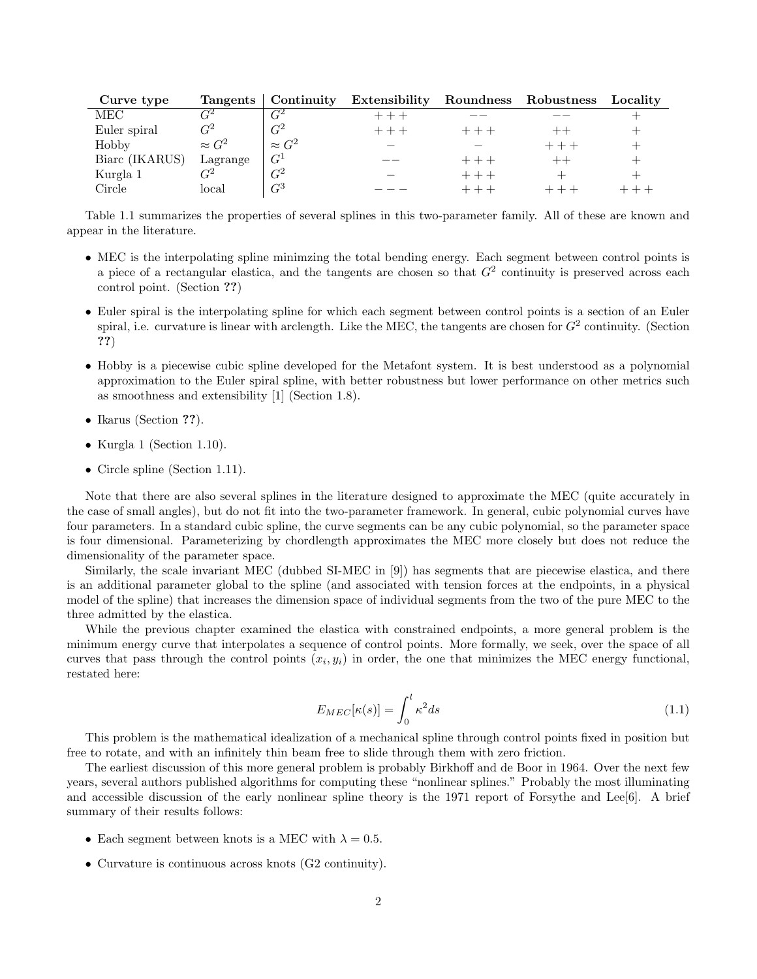| Curve type     |                       |               | Tangents   Continuity Extensibility Roundness Robustness |       | Locality |
|----------------|-----------------------|---------------|----------------------------------------------------------|-------|----------|
| MEC            | $\gamma$ <sup>2</sup> | $\,G^2$       | $+++$                                                    |       |          |
| Euler spiral   |                       | $\,G^2$       | $+++$                                                    |       |          |
| Hobby          | $\approx G^2$         | $\approx G^2$ |                                                          |       |          |
| Biarc (IKARUS) | Lagrange              | $G^1$         |                                                          | $+++$ |          |
| Kurgla 1       |                       | $G^2$         |                                                          | $+++$ |          |
| Circle         | local                 | $\,G^3$       |                                                          |       |          |

Table 1.1 summarizes the properties of several splines in this two-parameter family. All of these are known and appear in the literature.

- MEC is the interpolating spline minimzing the total bending energy. Each segment between control points is a piece of a rectangular elastica, and the tangents are chosen so that  $G<sup>2</sup>$  continuity is preserved across each control point. (Section ??)
- Euler spiral is the interpolating spline for which each segment between control points is a section of an Euler spiral, i.e. curvature is linear with arclength. Like the MEC, the tangents are chosen for  $G^2$  continuity. (Section ??)
- Hobby is a piecewise cubic spline developed for the Metafont system. It is best understood as a polynomial approximation to the Euler spiral spline, with better robustness but lower performance on other metrics such as smoothness and extensibility [1] (Section 1.8).
- Ikarus (Section ??).
- Kurgla 1 (Section 1.10).
- Circle spline (Section 1.11).

Note that there are also several splines in the literature designed to approximate the MEC (quite accurately in the case of small angles), but do not fit into the two-parameter framework. In general, cubic polynomial curves have four parameters. In a standard cubic spline, the curve segments can be any cubic polynomial, so the parameter space is four dimensional. Parameterizing by chordlength approximates the MEC more closely but does not reduce the dimensionality of the parameter space.

Similarly, the scale invariant MEC (dubbed SI-MEC in [9]) has segments that are piecewise elastica, and there is an additional parameter global to the spline (and associated with tension forces at the endpoints, in a physical model of the spline) that increases the dimension space of individual segments from the two of the pure MEC to the three admitted by the elastica.

While the previous chapter examined the elastica with constrained endpoints, a more general problem is the minimum energy curve that interpolates a sequence of control points. More formally, we seek, over the space of all curves that pass through the control points  $(x_i, y_i)$  in order, the one that minimizes the MEC energy functional, restated here:

$$
E_{MEC}[\kappa(s)] = \int_0^l \kappa^2 ds \tag{1.1}
$$

This problem is the mathematical idealization of a mechanical spline through control points fixed in position but free to rotate, and with an infinitely thin beam free to slide through them with zero friction.

The earliest discussion of this more general problem is probably Birkhoff and de Boor in 1964. Over the next few years, several authors published algorithms for computing these "nonlinear splines." Probably the most illuminating and accessible discussion of the early nonlinear spline theory is the 1971 report of Forsythe and Lee[6]. A brief summary of their results follows:

- Each segment between knots is a MEC with  $\lambda = 0.5$ .
- Curvature is continuous across knots (G2 continuity).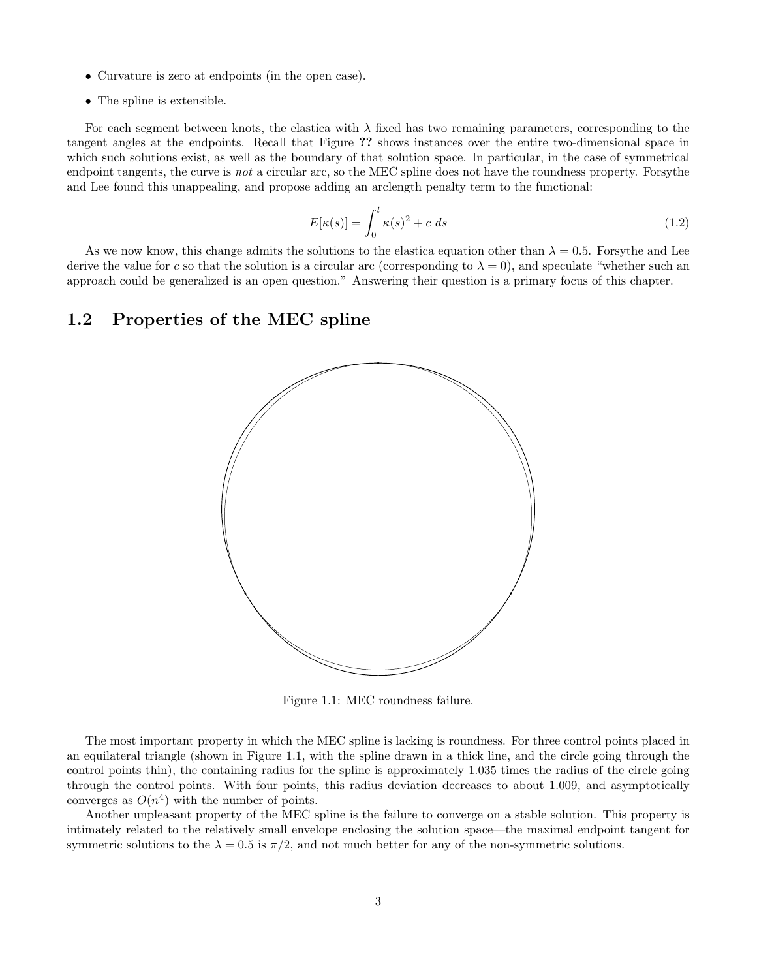- Curvature is zero at endpoints (in the open case).
- The spline is extensible.

For each segment between knots, the elastica with  $\lambda$  fixed has two remaining parameters, corresponding to the tangent angles at the endpoints. Recall that Figure ?? shows instances over the entire two-dimensional space in which such solutions exist, as well as the boundary of that solution space. In particular, in the case of symmetrical endpoint tangents, the curve is not a circular arc, so the MEC spline does not have the roundness property. Forsythe and Lee found this unappealing, and propose adding an arclength penalty term to the functional:

$$
E[\kappa(s)] = \int_0^l \kappa(s)^2 + c \, ds \tag{1.2}
$$

As we now know, this change admits the solutions to the elastica equation other than  $\lambda = 0.5$ . For sythe and Lee derive the value for c so that the solution is a circular arc (corresponding to  $\lambda = 0$ ), and speculate "whether such an approach could be generalized is an open question." Answering their question is a primary focus of this chapter.

### 1.2 Properties of the MEC spline



Figure 1.1: MEC roundness failure.

The most important property in which the MEC spline is lacking is roundness. For three control points placed in an equilateral triangle (shown in Figure 1.1, with the spline drawn in a thick line, and the circle going through the control points thin), the containing radius for the spline is approximately 1.035 times the radius of the circle going through the control points. With four points, this radius deviation decreases to about 1.009, and asymptotically converges as  $O(n^4)$  with the number of points.

Another unpleasant property of the MEC spline is the failure to converge on a stable solution. This property is intimately related to the relatively small envelope enclosing the solution space—the maximal endpoint tangent for symmetric solutions to the  $\lambda = 0.5$  is  $\pi/2$ , and not much better for any of the non-symmetric solutions.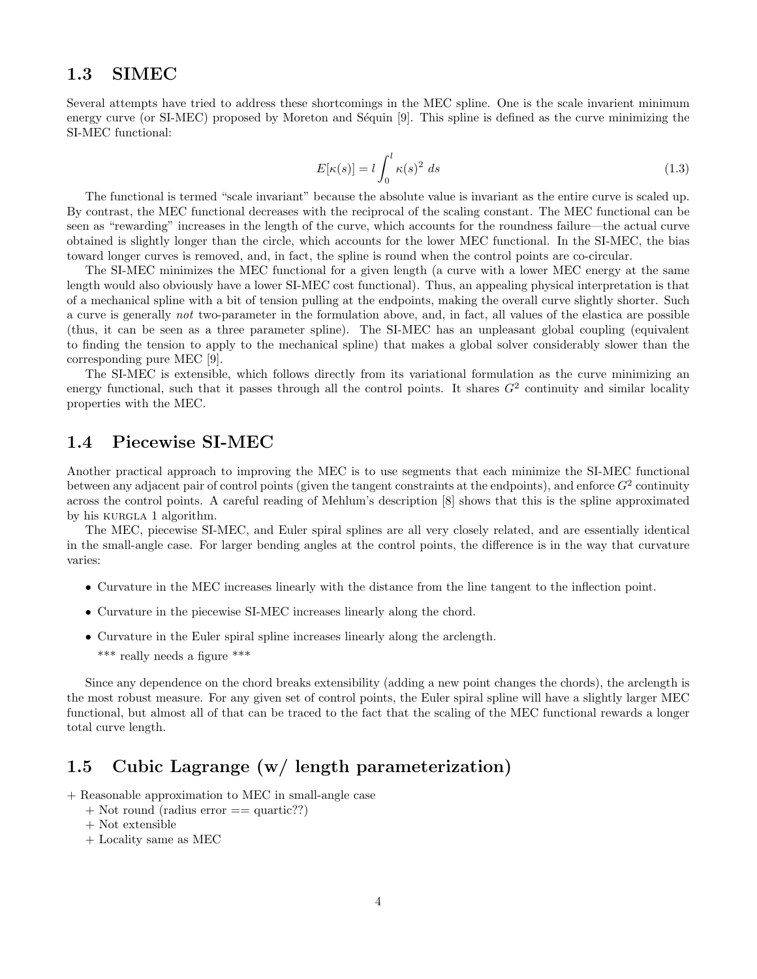## 1.3 SIMEC

Several attempts have tried to address these shortcomings in the MEC spline. One is the scale invarient minimum energy curve (or SI-MEC) proposed by Moreton and Séquin [9]. This spline is defined as the curve minimizing the SI-MEC functional:

$$
E[\kappa(s)] = l \int_0^l \kappa(s)^2 ds \tag{1.3}
$$

The functional is termed "scale invariant" because the absolute value is invariant as the entire curve is scaled up. By contrast, the MEC functional decreases with the reciprocal of the scaling constant. The MEC functional can be seen as "rewarding" increases in the length of the curve, which accounts for the roundness failure—the actual curve obtained is slightly longer than the circle, which accounts for the lower MEC functional. In the SI-MEC, the bias toward longer curves is removed, and, in fact, the spline is round when the control points are co-circular.

The SI-MEC minimizes the MEC functional for a given length (a curve with a lower MEC energy at the same length would also obviously have a lower SI-MEC cost functional). Thus, an appealing physical interpretation is that of a mechanical spline with a bit of tension pulling at the endpoints, making the overall curve slightly shorter. Such a curve is generally not two-parameter in the formulation above, and, in fact, all values of the elastica are possible (thus, it can be seen as a three parameter spline). The SI-MEC has an unpleasant global coupling (equivalent to finding the tension to apply to the mechanical spline) that makes a global solver considerably slower than the corresponding pure MEC [9].

The SI-MEC is extensible, which follows directly from its variational formulation as the curve minimizing an energy functional, such that it passes through all the control points. It shares  $G<sup>2</sup>$  continuity and similar locality properties with the MEC.

### 1.4 Piecewise SI-MEC

Another practical approach to improving the MEC is to use segments that each minimize the SI-MEC functional between any adjacent pair of control points (given the tangent constraints at the endpoints), and enforce  $G^2$  continuity across the control points. A careful reading of Mehlum's description [8] shows that this is the spline approximated by his KURGLA 1 algorithm.

The MEC, piecewise SI-MEC, and Euler spiral splines are all very closely related, and are essentially identical in the small-angle case. For larger bending angles at the control points, the difference is in the way that curvature varies:

- Curvature in the MEC increases linearly with the distance from the line tangent to the inflection point.
- Curvature in the piecewise SI-MEC increases linearly along the chord.
- Curvature in the Euler spiral spline increases linearly along the arclength. \*\*\* really needs a figure \*\*\*

Since any dependence on the chord breaks extensibility (adding a new point changes the chords), the arclength is the most robust measure. For any given set of control points, the Euler spiral spline will have a slightly larger MEC functional, but almost all of that can be traced to the fact that the scaling of the MEC functional rewards a longer total curve length.

## 1.5 Cubic Lagrange (w/ length parameterization)

- + Reasonable approximation to MEC in small-angle case
	- + Not round (radius error == quartic??)
	- + Not extensible
	- + Locality same as MEC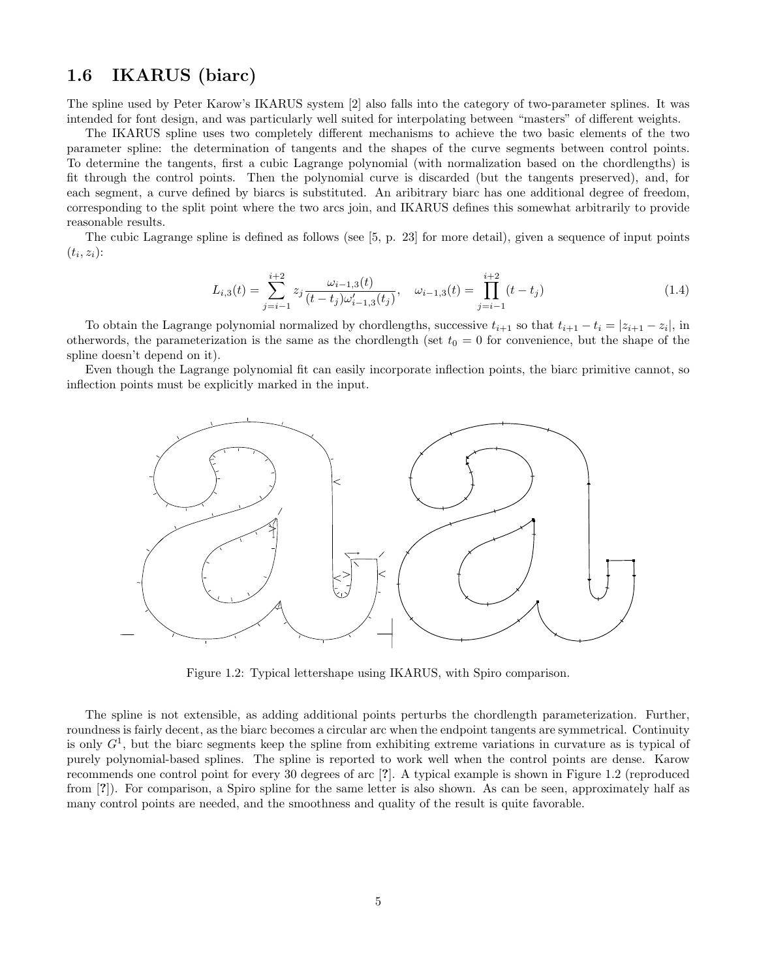## 1.6 IKARUS (biarc)

The spline used by Peter Karow's IKARUS system [2] also falls into the category of two-parameter splines. It was intended for font design, and was particularly well suited for interpolating between "masters" of different weights.

The IKARUS spline uses two completely different mechanisms to achieve the two basic elements of the two parameter spline: the determination of tangents and the shapes of the curve segments between control points. To determine the tangents, first a cubic Lagrange polynomial (with normalization based on the chordlengths) is fit through the control points. Then the polynomial curve is discarded (but the tangents preserved), and, for each segment, a curve defined by biarcs is substituted. An aribitrary biarc has one additional degree of freedom, corresponding to the split point where the two arcs join, and IKARUS defines this somewhat arbitrarily to provide reasonable results.

The cubic Lagrange spline is defined as follows (see [5, p. 23] for more detail), given a sequence of input points  $(t_i, z_i)$ :

$$
L_{i,3}(t) = \sum_{j=i-1}^{i+2} z_j \frac{\omega_{i-1,3}(t)}{(t-t_j)\omega_{i-1,3}'(t_j)}, \quad \omega_{i-1,3}(t) = \prod_{j=i-1}^{i+2} (t-t_j)
$$
\n(1.4)

To obtain the Lagrange polynomial normalized by chordlengths, successive  $t_{i+1}$  so that  $t_{i+1} - t_i = |z_{i+1} - z_i|$ , in otherwords, the parameterization is the same as the chordlength (set  $t_0 = 0$  for convenience, but the shape of the spline doesn't depend on it).

Even though the Lagrange polynomial fit can easily incorporate inflection points, the biarc primitive cannot, so inflection points must be explicitly marked in the input.



Figure 1.2: Typical lettershape using IKARUS, with Spiro comparison.

The spline is not extensible, as adding additional points perturbs the chordlength parameterization. Further, roundness is fairly decent, as the biarc becomes a circular arc when the endpoint tangents are symmetrical. Continuity is only  $G<sup>1</sup>$ , but the biarc segments keep the spline from exhibiting extreme variations in curvature as is typical of purely polynomial-based splines. The spline is reported to work well when the control points are dense. Karow recommends one control point for every 30 degrees of arc [?]. A typical example is shown in Figure 1.2 (reproduced from [?]). For comparison, a Spiro spline for the same letter is also shown. As can be seen, approximately half as many control points are needed, and the smoothness and quality of the result is quite favorable.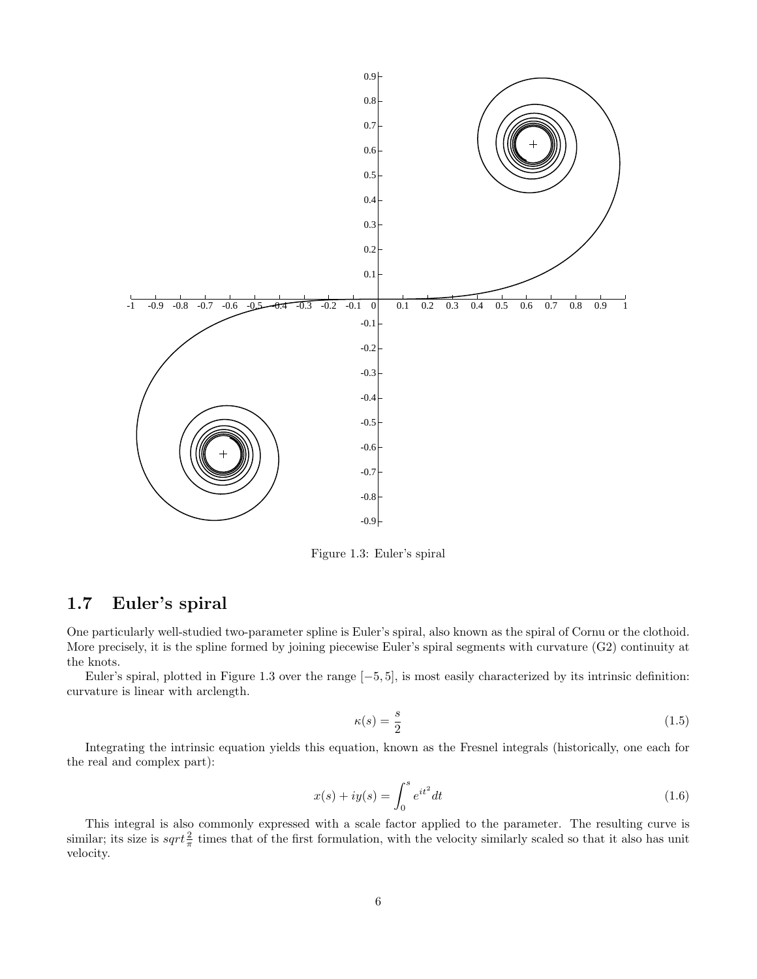

Figure 1.3: Euler's spiral

## 1.7 Euler's spiral

One particularly well-studied two-parameter spline is Euler's spiral, also known as the spiral of Cornu or the clothoid. More precisely, it is the spline formed by joining piecewise Euler's spiral segments with curvature (G2) continuity at the knots.

Euler's spiral, plotted in Figure 1.3 over the range [−5, 5], is most easily characterized by its intrinsic definition: curvature is linear with arclength.

$$
\kappa(s) = \frac{s}{2} \tag{1.5}
$$

Integrating the intrinsic equation yields this equation, known as the Fresnel integrals (historically, one each for the real and complex part):

$$
x(s) + iy(s) = \int_0^s e^{it^2} dt
$$
\n(1.6)

This integral is also commonly expressed with a scale factor applied to the parameter. The resulting curve is similar; its size is  $sqrt{\frac{2}{\pi}}$  times that of the first formulation, with the velocity similarly scaled so that it also has unit velocity.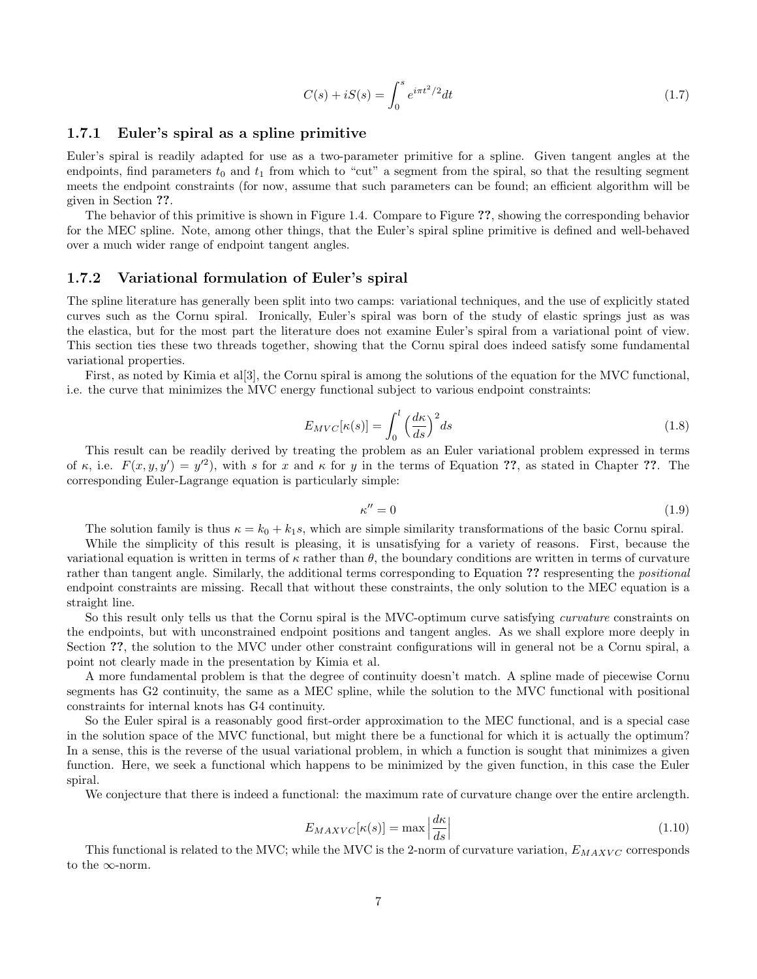$$
C(s) + iS(s) = \int_0^s e^{i\pi t^2/2} dt
$$
\n(1.7)

#### 1.7.1 Euler's spiral as a spline primitive

Euler's spiral is readily adapted for use as a two-parameter primitive for a spline. Given tangent angles at the endpoints, find parameters  $t_0$  and  $t_1$  from which to "cut" a segment from the spiral, so that the resulting segment meets the endpoint constraints (for now, assume that such parameters can be found; an efficient algorithm will be given in Section ??.

The behavior of this primitive is shown in Figure 1.4. Compare to Figure ??, showing the corresponding behavior for the MEC spline. Note, among other things, that the Euler's spiral spline primitive is defined and well-behaved over a much wider range of endpoint tangent angles.

#### 1.7.2 Variational formulation of Euler's spiral

The spline literature has generally been split into two camps: variational techniques, and the use of explicitly stated curves such as the Cornu spiral. Ironically, Euler's spiral was born of the study of elastic springs just as was the elastica, but for the most part the literature does not examine Euler's spiral from a variational point of view. This section ties these two threads together, showing that the Cornu spiral does indeed satisfy some fundamental variational properties.

First, as noted by Kimia et al[3], the Cornu spiral is among the solutions of the equation for the MVC functional, i.e. the curve that minimizes the MVC energy functional subject to various endpoint constraints:

$$
E_{MVC}[\kappa(s)] = \int_0^l \left(\frac{d\kappa}{ds}\right)^2 ds\tag{1.8}
$$

This result can be readily derived by treating the problem as an Euler variational problem expressed in terms of  $\kappa$ , i.e.  $F(x, y, y') = y'^2$ , with s for x and  $\kappa$  for y in the terms of Equation ??, as stated in Chapter ??. The corresponding Euler-Lagrange equation is particularly simple:

$$
\kappa'' = 0 \tag{1.9}
$$

The solution family is thus  $\kappa = k_0 + k_1 s$ , which are simple similarity transformations of the basic Cornu spiral.

While the simplicity of this result is pleasing, it is unsatisfying for a variety of reasons. First, because the variational equation is written in terms of  $\kappa$  rather than  $\theta$ , the boundary conditions are written in terms of curvature rather than tangent angle. Similarly, the additional terms corresponding to Equation ?? respresenting the *positional* endpoint constraints are missing. Recall that without these constraints, the only solution to the MEC equation is a straight line.

So this result only tells us that the Cornu spiral is the MVC-optimum curve satisfying *curvature* constraints on the endpoints, but with unconstrained endpoint positions and tangent angles. As we shall explore more deeply in Section ??, the solution to the MVC under other constraint configurations will in general not be a Cornu spiral, a point not clearly made in the presentation by Kimia et al.

A more fundamental problem is that the degree of continuity doesn't match. A spline made of piecewise Cornu segments has G2 continuity, the same as a MEC spline, while the solution to the MVC functional with positional constraints for internal knots has G4 continuity.

So the Euler spiral is a reasonably good first-order approximation to the MEC functional, and is a special case in the solution space of the MVC functional, but might there be a functional for which it is actually the optimum? In a sense, this is the reverse of the usual variational problem, in which a function is sought that minimizes a given function. Here, we seek a functional which happens to be minimized by the given function, in this case the Euler spiral.

We conjecture that there is indeed a functional: the maximum rate of curvature change over the entire arclength.

$$
E_{MAXVC}[\kappa(s)] = \max \left| \frac{d\kappa}{ds} \right| \tag{1.10}
$$

This functional is related to the MVC; while the MVC is the 2-norm of curvature variation,  $E_{MAXVC}$  corresponds to the  $\infty$ -norm.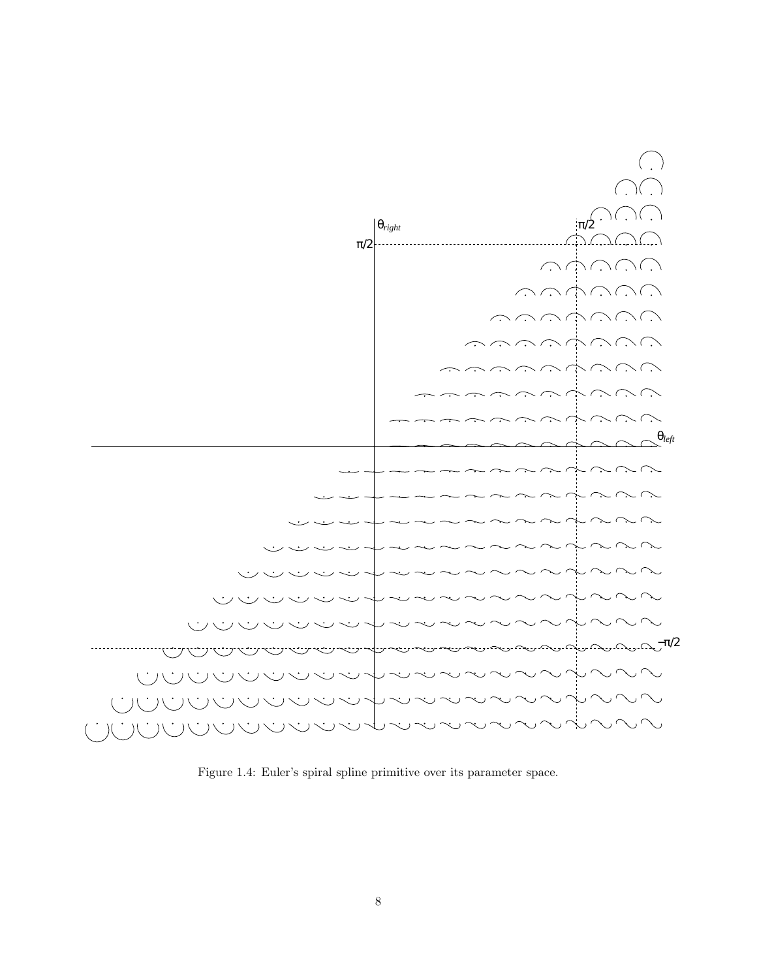

Figure 1.4: Euler's spiral spline primitive over its parameter space.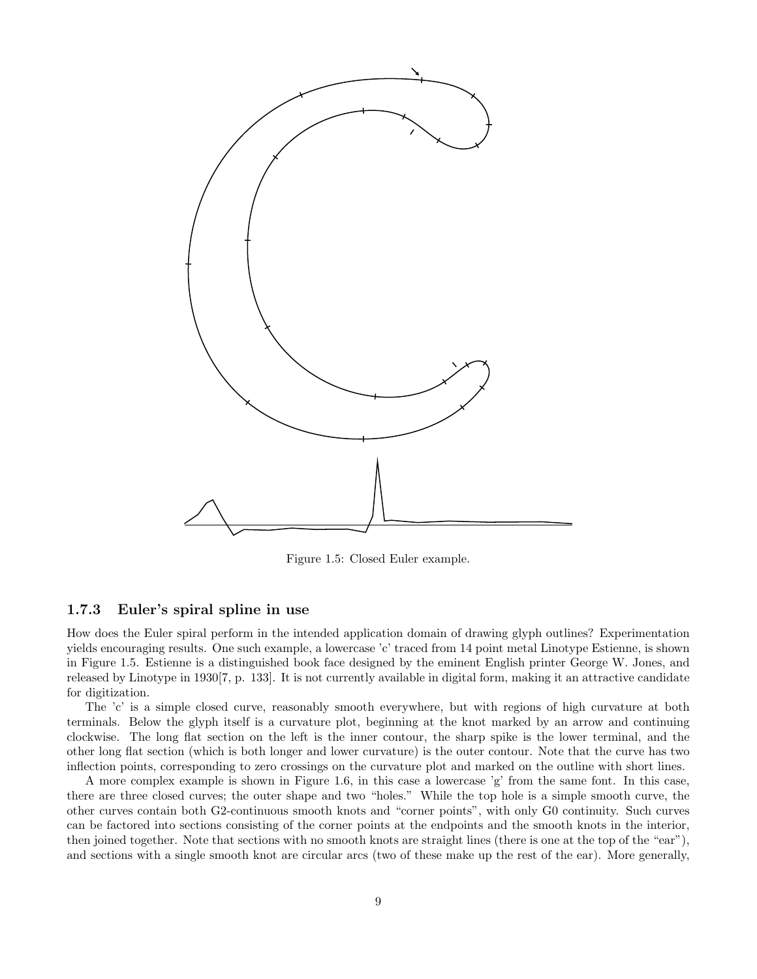

Figure 1.5: Closed Euler example.

#### 1.7.3 Euler's spiral spline in use

How does the Euler spiral perform in the intended application domain of drawing glyph outlines? Experimentation yields encouraging results. One such example, a lowercase 'c' traced from 14 point metal Linotype Estienne, is shown in Figure 1.5. Estienne is a distinguished book face designed by the eminent English printer George W. Jones, and released by Linotype in 1930[7, p. 133]. It is not currently available in digital form, making it an attractive candidate for digitization.

The 'c' is a simple closed curve, reasonably smooth everywhere, but with regions of high curvature at both terminals. Below the glyph itself is a curvature plot, beginning at the knot marked by an arrow and continuing clockwise. The long flat section on the left is the inner contour, the sharp spike is the lower terminal, and the other long flat section (which is both longer and lower curvature) is the outer contour. Note that the curve has two inflection points, corresponding to zero crossings on the curvature plot and marked on the outline with short lines.

A more complex example is shown in Figure 1.6, in this case a lowercase 'g' from the same font. In this case, there are three closed curves; the outer shape and two "holes." While the top hole is a simple smooth curve, the other curves contain both G2-continuous smooth knots and "corner points", with only G0 continuity. Such curves can be factored into sections consisting of the corner points at the endpoints and the smooth knots in the interior, then joined together. Note that sections with no smooth knots are straight lines (there is one at the top of the "ear"), and sections with a single smooth knot are circular arcs (two of these make up the rest of the ear). More generally,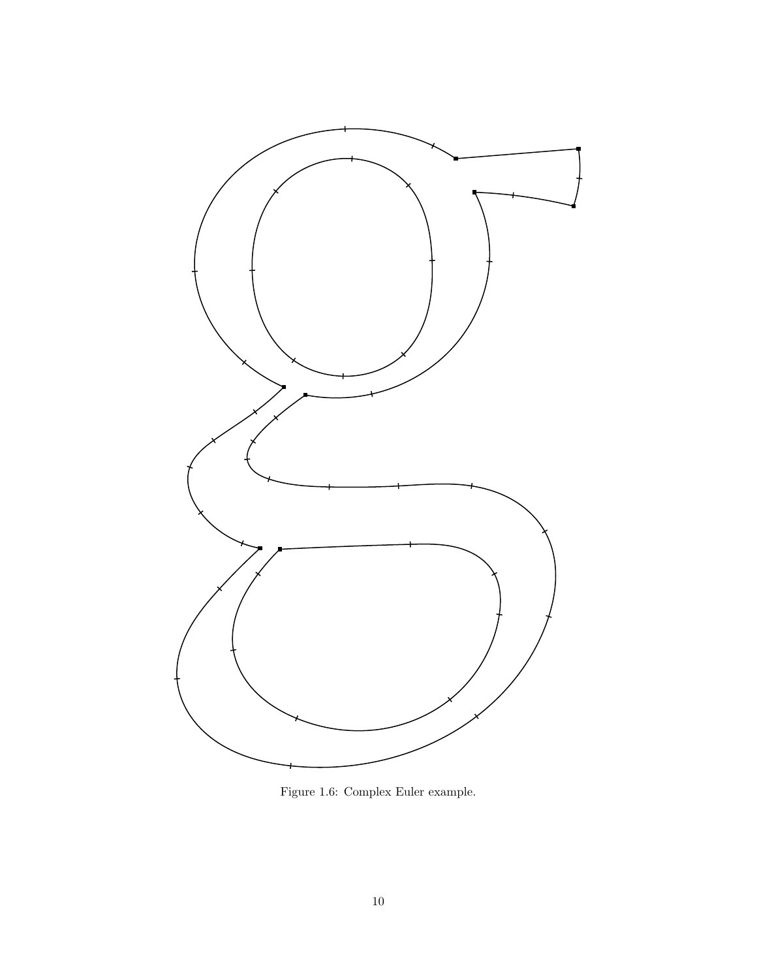

Figure 1.6: Complex Euler example.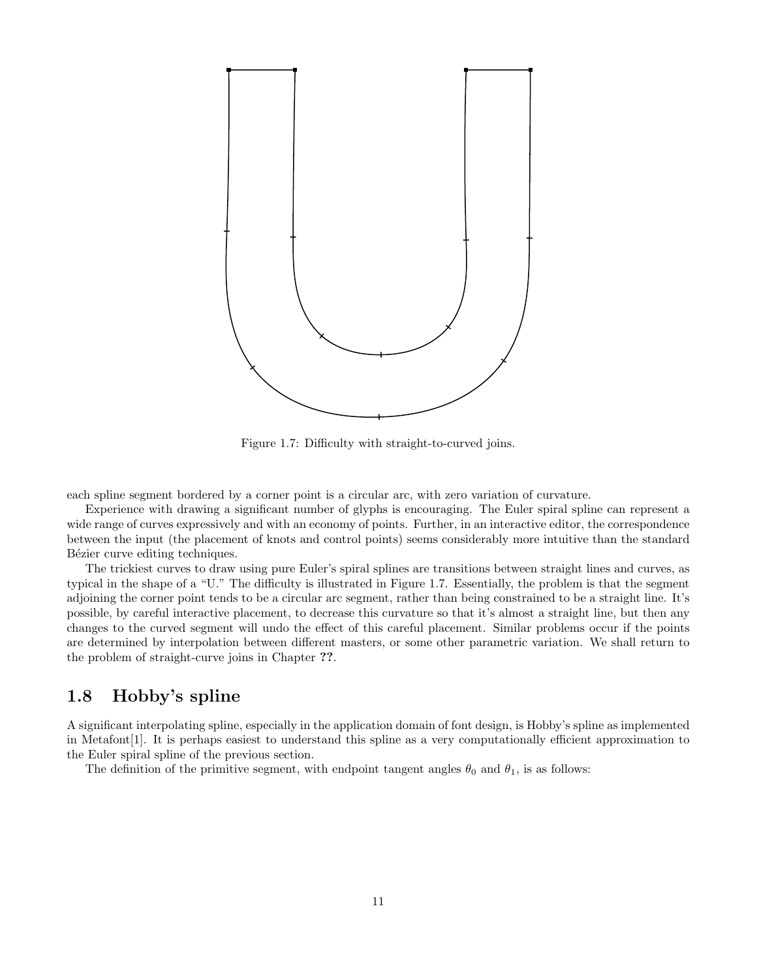

Figure 1.7: Difficulty with straight-to-curved joins.

each spline segment bordered by a corner point is a circular arc, with zero variation of curvature.

Experience with drawing a significant number of glyphs is encouraging. The Euler spiral spline can represent a wide range of curves expressively and with an economy of points. Further, in an interactive editor, the correspondence between the input (the placement of knots and control points) seems considerably more intuitive than the standard Bézier curve editing techniques.

The trickiest curves to draw using pure Euler's spiral splines are transitions between straight lines and curves, as typical in the shape of a "U." The difficulty is illustrated in Figure 1.7. Essentially, the problem is that the segment adjoining the corner point tends to be a circular arc segment, rather than being constrained to be a straight line. It's possible, by careful interactive placement, to decrease this curvature so that it's almost a straight line, but then any changes to the curved segment will undo the effect of this careful placement. Similar problems occur if the points are determined by interpolation between different masters, or some other parametric variation. We shall return to the problem of straight-curve joins in Chapter ??.

## 1.8 Hobby's spline

A significant interpolating spline, especially in the application domain of font design, is Hobby's spline as implemented in Metafont[1]. It is perhaps easiest to understand this spline as a very computationally efficient approximation to the Euler spiral spline of the previous section.

The definition of the primitive segment, with endpoint tangent angles  $\theta_0$  and  $\theta_1$ , is as follows: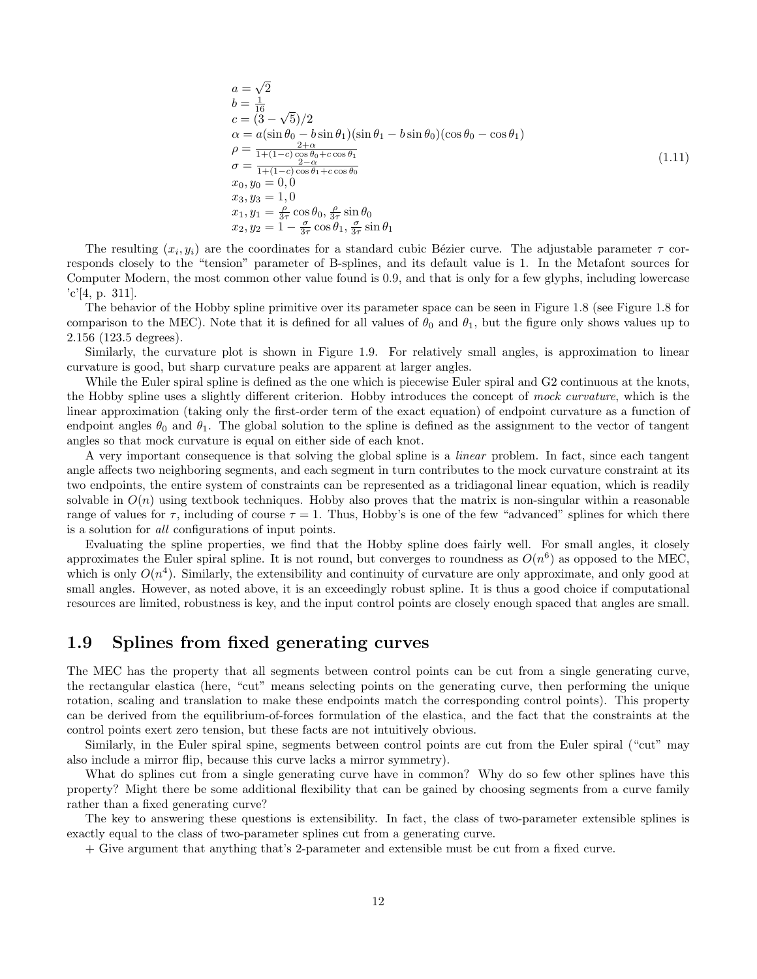$$
a = \sqrt{2}
$$
  
\n
$$
b = \frac{1}{16}
$$
  
\n
$$
c = (3 - \sqrt{5})/2
$$
  
\n
$$
\alpha = a(\sin \theta_0 - b \sin \theta_1)(\sin \theta_1 - b \sin \theta_0)(\cos \theta_0 - \cos \theta_1)
$$
  
\n
$$
\rho = \frac{2 + \alpha}{1 + (1 - c) \cos \theta_0 + c \cos \theta_1}
$$
  
\n
$$
\sigma = \frac{2 - \alpha}{1 + (1 - c) \cos \theta_1 + c \cos \theta_0}
$$
  
\n
$$
x_0, y_0 = 0, 0
$$
  
\n
$$
x_1, y_1 = \frac{\rho}{3\tau} \cos \theta_0, \frac{\rho}{3\tau} \sin \theta_0
$$
  
\n
$$
x_2, y_2 = 1 - \frac{\sigma}{3\tau} \cos \theta_1, \frac{\sigma}{3\tau} \sin \theta_1
$$
  
\n(1.11)

The resulting  $(x_i, y_i)$  are the coordinates for a standard cubic Bézier curve. The adjustable parameter  $\tau$  corresponds closely to the "tension" parameter of B-splines, and its default value is 1. In the Metafont sources for Computer Modern, the most common other value found is 0.9, and that is only for a few glyphs, including lowercase  $c'[4, p. 311].$ 

The behavior of the Hobby spline primitive over its parameter space can be seen in Figure 1.8 (see Figure 1.8 for comparison to the MEC). Note that it is defined for all values of  $\theta_0$  and  $\theta_1$ , but the figure only shows values up to 2.156 (123.5 degrees).

Similarly, the curvature plot is shown in Figure 1.9. For relatively small angles, is approximation to linear curvature is good, but sharp curvature peaks are apparent at larger angles.

While the Euler spiral spline is defined as the one which is piecewise Euler spiral and G2 continuous at the knots, the Hobby spline uses a slightly different criterion. Hobby introduces the concept of mock curvature, which is the linear approximation (taking only the first-order term of the exact equation) of endpoint curvature as a function of endpoint angles  $\theta_0$  and  $\theta_1$ . The global solution to the spline is defined as the assignment to the vector of tangent angles so that mock curvature is equal on either side of each knot.

A very important consequence is that solving the global spline is a linear problem. In fact, since each tangent angle affects two neighboring segments, and each segment in turn contributes to the mock curvature constraint at its two endpoints, the entire system of constraints can be represented as a tridiagonal linear equation, which is readily solvable in  $O(n)$  using textbook techniques. Hobby also proves that the matrix is non-singular within a reasonable range of values for  $\tau$ , including of course  $\tau = 1$ . Thus, Hobby's is one of the few "advanced" splines for which there is a solution for all configurations of input points.

Evaluating the spline properties, we find that the Hobby spline does fairly well. For small angles, it closely approximates the Euler spiral spline. It is not round, but converges to roundness as  $O(n^6)$  as opposed to the MEC, which is only  $O(n^4)$ . Similarly, the extensibility and continuity of curvature are only approximate, and only good at small angles. However, as noted above, it is an exceedingly robust spline. It is thus a good choice if computational resources are limited, robustness is key, and the input control points are closely enough spaced that angles are small.

## 1.9 Splines from fixed generating curves

The MEC has the property that all segments between control points can be cut from a single generating curve, the rectangular elastica (here, "cut" means selecting points on the generating curve, then performing the unique rotation, scaling and translation to make these endpoints match the corresponding control points). This property can be derived from the equilibrium-of-forces formulation of the elastica, and the fact that the constraints at the control points exert zero tension, but these facts are not intuitively obvious.

Similarly, in the Euler spiral spine, segments between control points are cut from the Euler spiral ("cut" may also include a mirror flip, because this curve lacks a mirror symmetry).

What do splines cut from a single generating curve have in common? Why do so few other splines have this property? Might there be some additional flexibility that can be gained by choosing segments from a curve family rather than a fixed generating curve?

The key to answering these questions is extensibility. In fact, the class of two-parameter extensible splines is exactly equal to the class of two-parameter splines cut from a generating curve.

+ Give argument that anything that's 2-parameter and extensible must be cut from a fixed curve.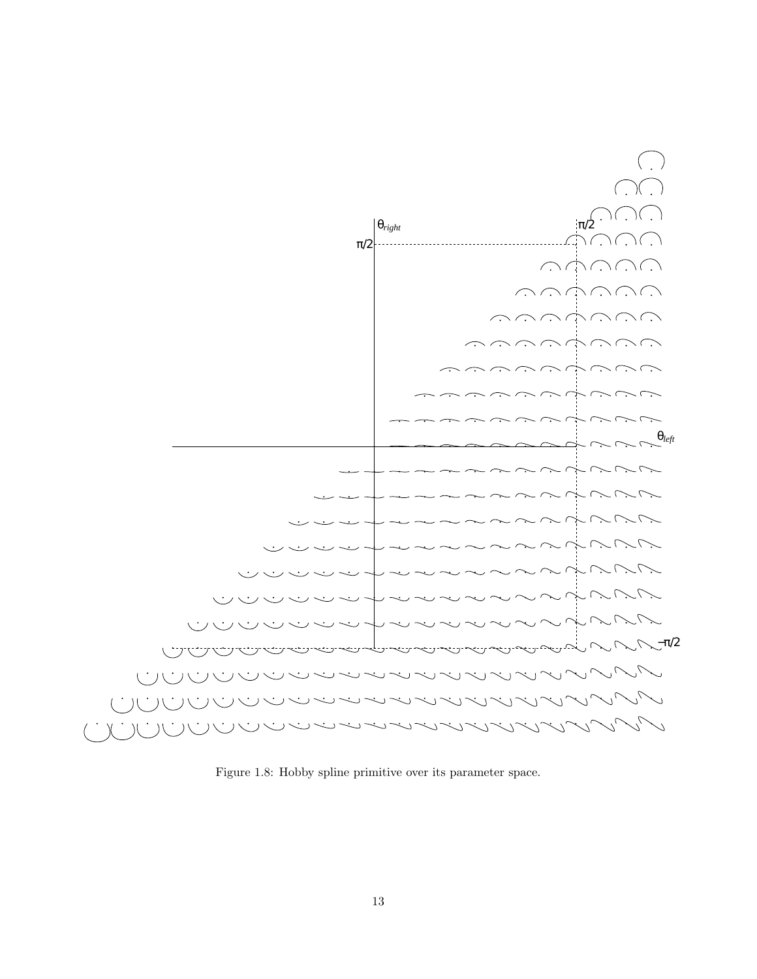

Figure 1.8: Hobby spline primitive over its parameter space.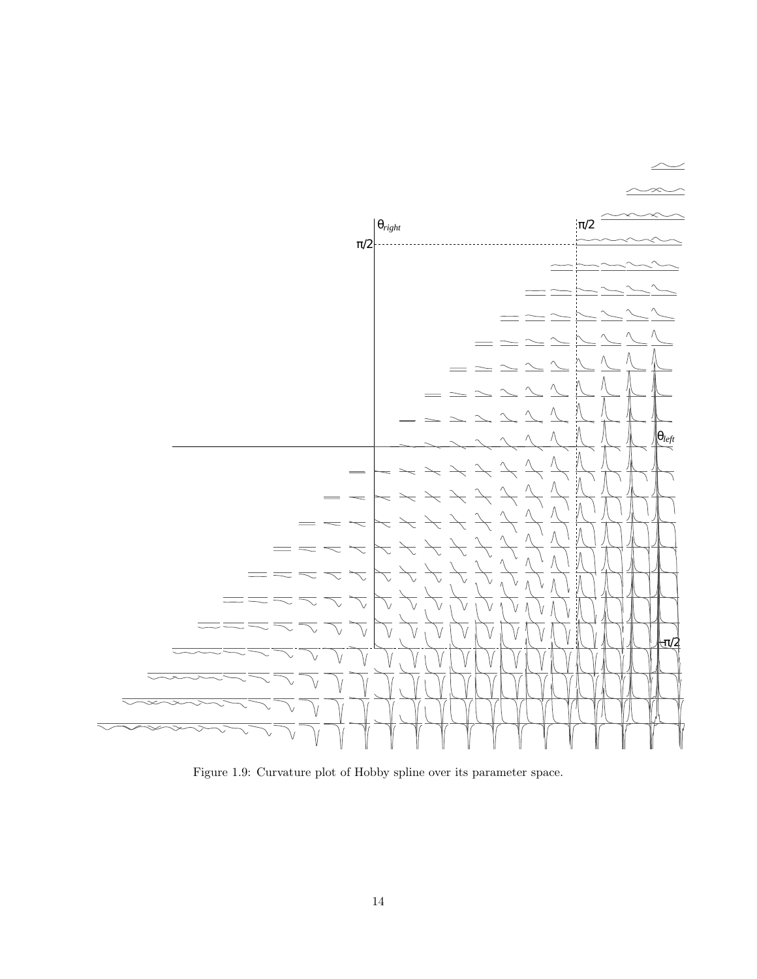

Figure 1.9: Curvature plot of Hobby spline over its parameter space.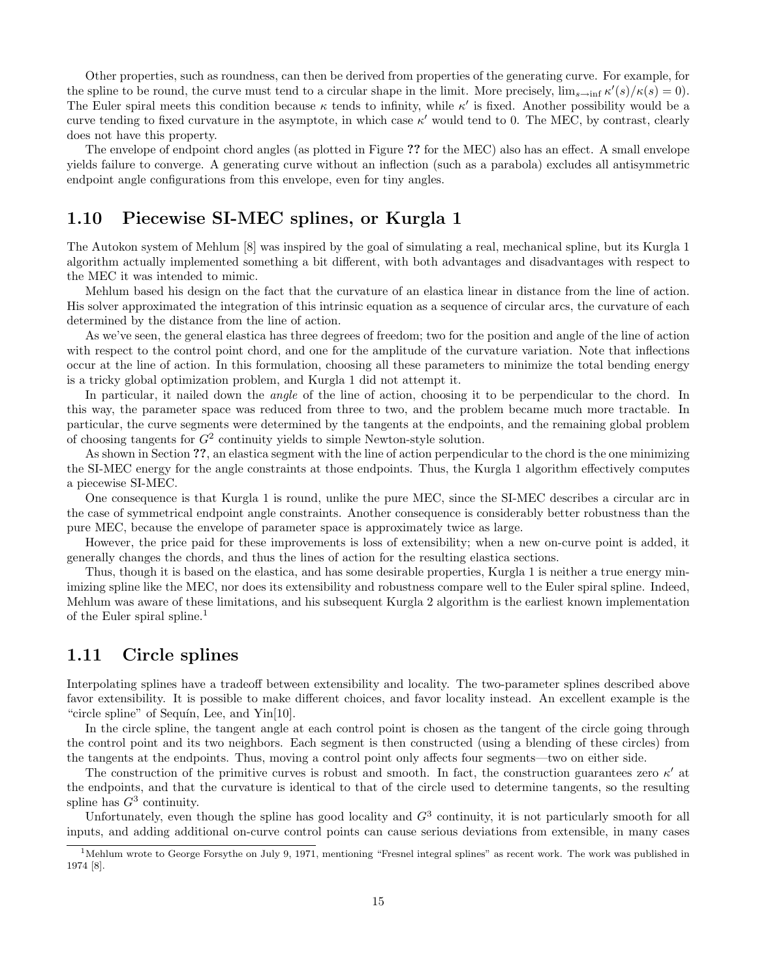Other properties, such as roundness, can then be derived from properties of the generating curve. For example, for the spline to be round, the curve must tend to a circular shape in the limit. More precisely,  $\lim_{s\to \inf} \kappa'(s)/\kappa(s) = 0$ . The Euler spiral meets this condition because  $\kappa$  tends to infinity, while  $\kappa'$  is fixed. Another possibility would be a curve tending to fixed curvature in the asymptote, in which case  $\kappa'$  would tend to 0. The MEC, by contrast, clearly does not have this property.

The envelope of endpoint chord angles (as plotted in Figure ?? for the MEC) also has an effect. A small envelope yields failure to converge. A generating curve without an inflection (such as a parabola) excludes all antisymmetric endpoint angle configurations from this envelope, even for tiny angles.

## 1.10 Piecewise SI-MEC splines, or Kurgla 1

The Autokon system of Mehlum [8] was inspired by the goal of simulating a real, mechanical spline, but its Kurgla 1 algorithm actually implemented something a bit different, with both advantages and disadvantages with respect to the MEC it was intended to mimic.

Mehlum based his design on the fact that the curvature of an elastica linear in distance from the line of action. His solver approximated the integration of this intrinsic equation as a sequence of circular arcs, the curvature of each determined by the distance from the line of action.

As we've seen, the general elastica has three degrees of freedom; two for the position and angle of the line of action with respect to the control point chord, and one for the amplitude of the curvature variation. Note that inflections occur at the line of action. In this formulation, choosing all these parameters to minimize the total bending energy is a tricky global optimization problem, and Kurgla 1 did not attempt it.

In particular, it nailed down the *angle* of the line of action, choosing it to be perpendicular to the chord. In this way, the parameter space was reduced from three to two, and the problem became much more tractable. In particular, the curve segments were determined by the tangents at the endpoints, and the remaining global problem of choosing tangents for  $G^2$  continuity yields to simple Newton-style solution.

As shown in Section ??, an elastica segment with the line of action perpendicular to the chord is the one minimizing the SI-MEC energy for the angle constraints at those endpoints. Thus, the Kurgla 1 algorithm effectively computes a piecewise SI-MEC.

One consequence is that Kurgla 1 is round, unlike the pure MEC, since the SI-MEC describes a circular arc in the case of symmetrical endpoint angle constraints. Another consequence is considerably better robustness than the pure MEC, because the envelope of parameter space is approximately twice as large.

However, the price paid for these improvements is loss of extensibility; when a new on-curve point is added, it generally changes the chords, and thus the lines of action for the resulting elastica sections.

Thus, though it is based on the elastica, and has some desirable properties, Kurgla 1 is neither a true energy minimizing spline like the MEC, nor does its extensibility and robustness compare well to the Euler spiral spline. Indeed, Mehlum was aware of these limitations, and his subsequent Kurgla 2 algorithm is the earliest known implementation of the Euler spiral spline.<sup>1</sup>

## 1.11 Circle splines

Interpolating splines have a tradeoff between extensibility and locality. The two-parameter splines described above favor extensibility. It is possible to make different choices, and favor locality instead. An excellent example is the "circle spline" of Sequín, Lee, and  $Yin[10]$ .

In the circle spline, the tangent angle at each control point is chosen as the tangent of the circle going through the control point and its two neighbors. Each segment is then constructed (using a blending of these circles) from the tangents at the endpoints. Thus, moving a control point only affects four segments—two on either side.

The construction of the primitive curves is robust and smooth. In fact, the construction guarantees zero  $\kappa'$  at the endpoints, and that the curvature is identical to that of the circle used to determine tangents, so the resulting spline has  $G^3$  continuity.

Unfortunately, even though the spline has good locality and  $G<sup>3</sup>$  continuity, it is not particularly smooth for all inputs, and adding additional on-curve control points can cause serious deviations from extensible, in many cases

 $1$ Mehlum wrote to George Forsythe on July 9, 1971, mentioning "Fresnel integral splines" as recent work. The work was published in 1974 [8].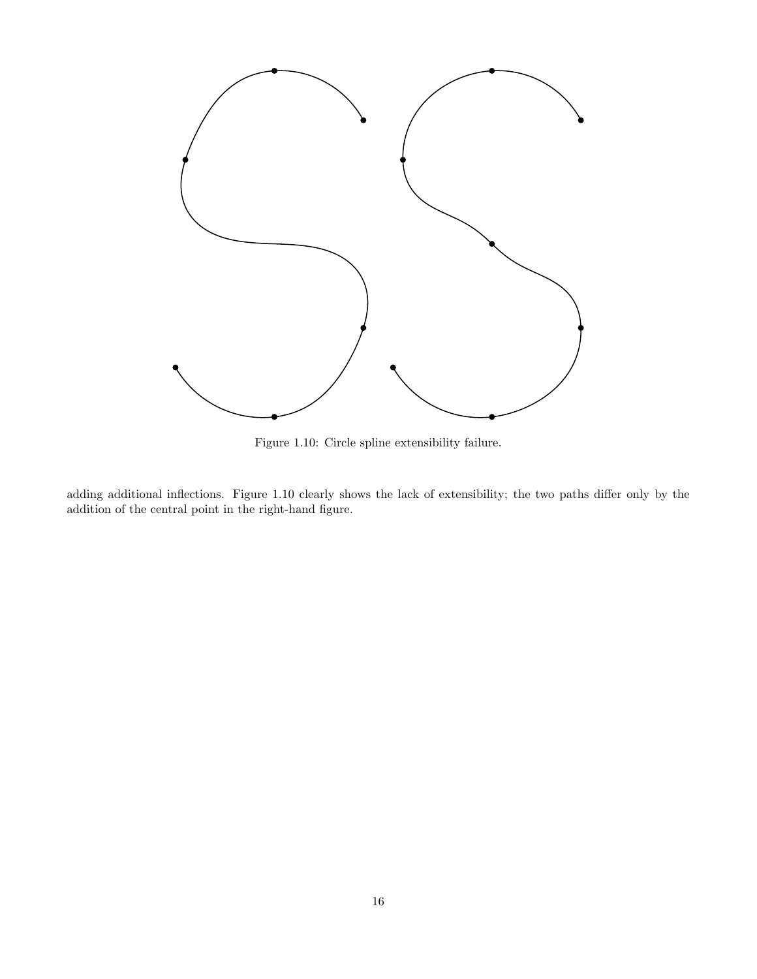

Figure 1.10: Circle spline extensibility failure.

adding additional inflections. Figure 1.10 clearly shows the lack of extensibility; the two paths differ only by the addition of the central point in the right-hand figure.